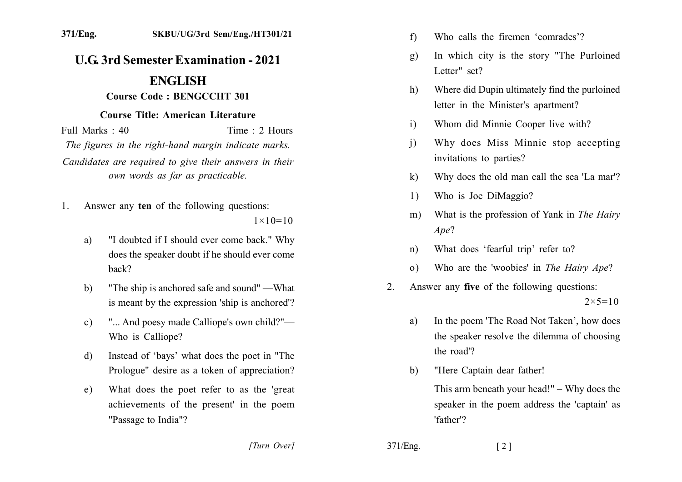## **U.G. 3rd Semester Examination - 2021**

## **ENGLISH**

## **Course Code: BENGCCHT 301**

## **Course Title: American Literature**

Full Marks  $\cdot$  40 Time  $\cdot$  2 Hours The figures in the right-hand margin indicate marks. Candidates are required to give their answers in their own words as far as practicable.

Answer any ten of the following questions:  $1$ 

 $1 \times 10 = 10$ 

- "I doubted if I should ever come back." Why a) does the speaker doubt if he should ever come back?
- "The ship is anchored safe and sound" —What  $b)$ is meant by the expression 'ship is anchored'?
- "... And poesy made Calliope's own child?"  $c)$ Who is Calliope?
- Instead of 'bays' what does the poet in "The d) Prologue" desire as a token of appreciation?
- What does the poet refer to as the 'great e) achievements of the present' in the poem "Passage to India"?
- Who calls the firemen 'comrades'?  $f$
- In which city is the story "The Purloined  $g)$ Letter" set?
- Where did Dupin ultimately find the purloined h) letter in the Minister's apartment?
- Whom did Minnie Cooper live with?  $i)$
- Why does Miss Minnie stop accepting  $\overline{1}$ invitations to parties?
- Why does the old man call the sea 'La mar'?  $k)$
- Who is Joe DiMaggio?  $\left( \frac{1}{2} \right)$
- What is the profession of Yank in The Hairy  $m)$  $Ape$ ?
- What does 'fearful trip' refer to?  $n$ )
- Who are the 'woobies' in The Hairy Ape?  $(0)$
- Answer any five of the following questions:  $2^{\circ}$  $2 \times 5 = 10$ 
	- In the poem 'The Road Not Taken', how does a) the speaker resolve the dilemma of choosing the road'?
	- "Here Captain dear father!  $b)$

This arm beneath your head!"  $-$  Why does the speaker in the poem address the 'captain' as 'father'?

[Turn Over]

371/Eng.